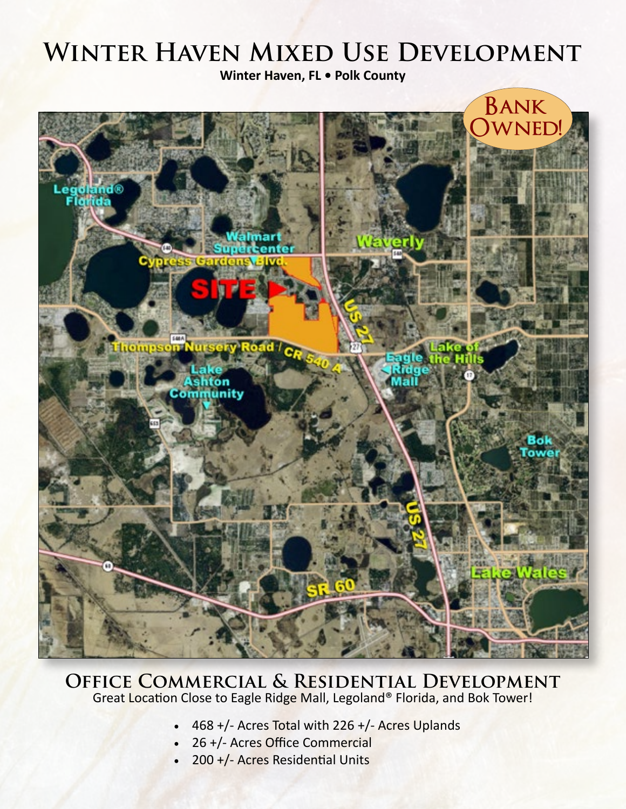# **Winter Haven Mixed Use Development**

**Winter Haven, FL • Polk County**



# **Office Commercial & Residential Development** Great Location Close to Eagle Ridge Mall, Legoland® Florida, and Bok Tower!

- 468 +/- Acres Total with 226 +/- Acres Uplands
- 26 +/- Acres Office Commercial
- 200 +/- Acres Residential Units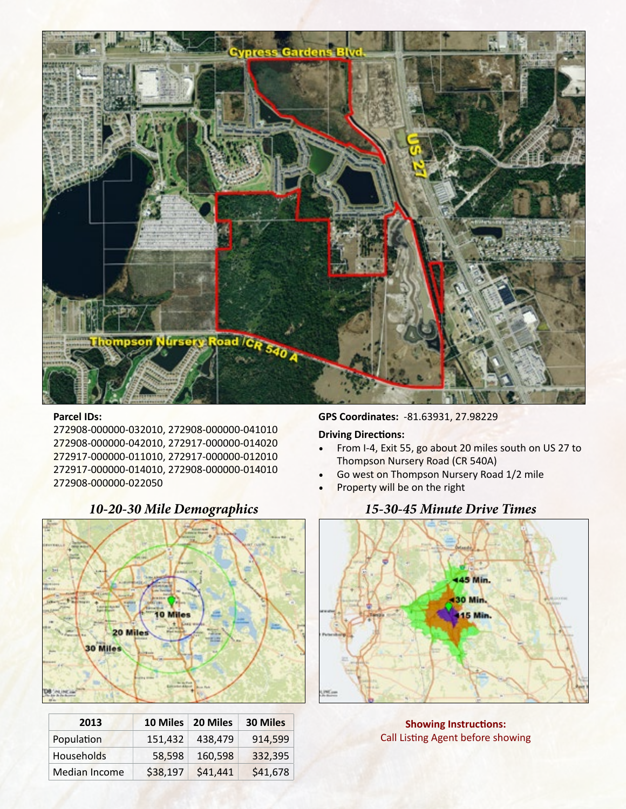

#### **Parcel IDs:**

272908-000000-032010, 272908-000000-041010 272908-000000-042010, 272917-000000-014020 272917-000000-011010, 272917-000000-012010 272917-000000-014010, 272908-000000-014010 272908-000000-022050



| 10-20-30 Mile Demographic |  |  |  |  |
|---------------------------|--|--|--|--|
|---------------------------|--|--|--|--|

# **2013 10 Miles 20 Miles 30 Miles** Population 151,432 438,479 914,599 Households 58,598 160,598 332,395 Median Income \$38,197 \$41,441 \$41,678

**GPS Coordinates:** -81.63931, 27.98229

#### **Driving Directions:**

- From I-4, Exit 55, go about 20 miles south on US 27 to Thompson Nursery Road (CR 540A)
- Go west on Thompson Nursery Road 1/2 mile
- Property will be on the right

### *10-20-30 Mile Demographics 15-30-45 Minute Drive Times*



**Showing Instructions:**  Call Listing Agent before showing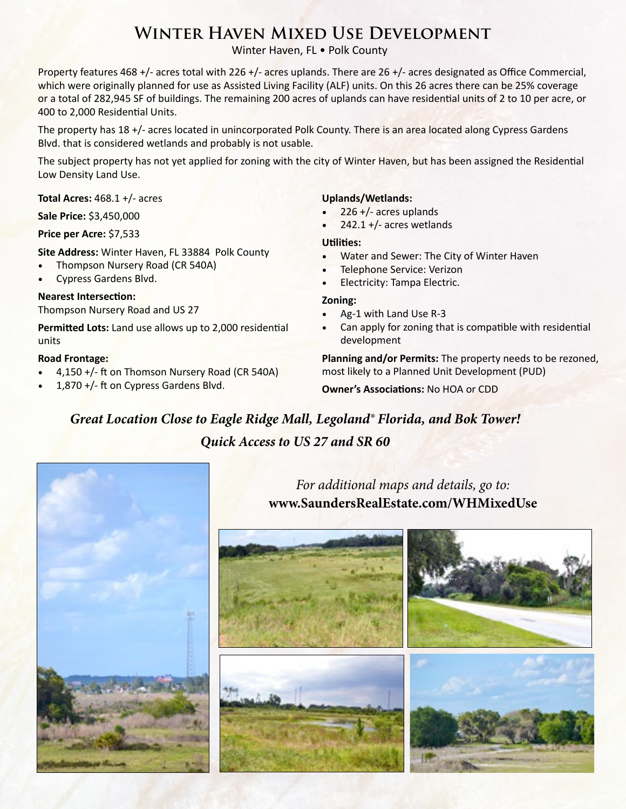# **Winter Haven Mixed Use Development**

Winter Haven, FL . Polk County

Property features 468 +/- acres total with 226 +/- acres uplands. There are 26 +/- acres designated as Office Commercial, which were originally planned for use as Assisted Living Facility (ALF) units. On this 26 acres there can be 25% coverage or a total of 282,945 SF of buildings. The remaining 200 acres of uplands can have residential units of 2 to 10 per acre, or 400 to 2,000 Residential Units.

The property has 18 +/- acres located in unincorporated Polk County. There is an area located along Cypress Gardens Blvd. that is considered wetlands and probably is not usable.

The subject property has not yet applied for zoning with the city of Winter Haven, but has been assigned the Residential Low Density Land Use.

**Total Acres:** 468.1 +/- acres

**Sale Price:** \$3,450,000

**Price per Acre:** \$7,533

**Site Address:** Winter Haven, FL 33884 Polk County

- Thompson Nursery Road (CR 540A)
- Cypress Gardens Blvd.

#### **Nearest Intersection:**

Thompson Nursery Road and US 27

**Permitted Lots:** Land use allows up to 2,000 residential units

#### **Road Frontage:**

- 4,150 +/- ft on Thomson Nursery Road (CR 540A)
- 1,870  $+/-$  ft on Cypress Gardens Blvd.

#### **Uplands/Wetlands:**

- $226 +$ /- acres uplands
- $242.1 + (-$  acres wetlands

#### **Utilities:**

- Water and Sewer: The City of Winter Haven
- Telephone Service: Verizon
- Electricity: Tampa Electric.

#### **Zoning:**

- Ag-1 with Land Use R-3
- Can apply for zoning that is compatible with residential development

**Planning and/or Permits:** The property needs to be rezoned, most likely to a Planned Unit Development (PUD)

**Owner's Associations:** No HOA or CDD

*Great Location Close to Eagle Ridge Mall, Legoland® Florida, and Bok Tower! Quick Access to US 27 and SR 60*